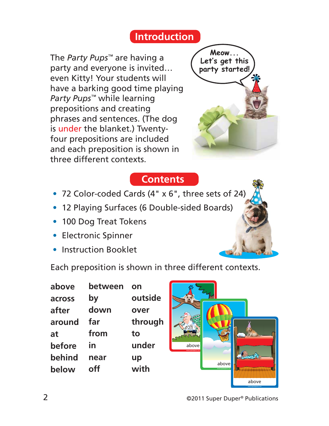## **Introduction**

The *Party Pups™* are having a party and everyone is invited… even Kitty! Your students will have a barking good time playing *Party Pups™* while learning prepositions and creating phrases and sentences. (The dog is under the blanket.) Twentyfour prepositions are included and each preposition is shown in three different contexts.



## **Contents**

- 72 Color-coded Cards (4" x 6", three sets of 24)
- 12 Playing Surfaces (6 Double-sided Boards)
- 100 Dog Treat Tokens
- Electronic Spinner
- Instruction Booklet

Each preposition is shown in three different contexts.

| above  | between | on      |
|--------|---------|---------|
| across | by      | outside |
| after  | down    | over    |
| around | far     | through |
| at     | from    | to      |
| before | in      | under   |
| behind | near    | up      |
| below  | nff     | with    |

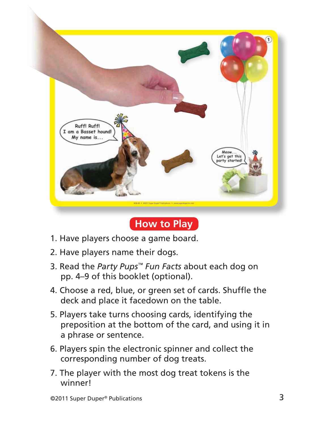

## **How to Play**

- 1. Have players choose a game board.
- 2. Have players name their dogs.
- 3. Read the *Party Pups™ Fun Facts* about each dog on pp. 4–9 of this booklet (optional).
- 4. Choose a red, blue, or green set of cards. Shuffle the deck and place it facedown on the table.
- 5. Players take turns choosing cards, identifying the preposition at the bottom of the card, and using it in a phrase or sentence.
- 6. Players spin the electronic spinner and collect the corresponding number of dog treats.
- 7. The player with the most dog treat tokens is the winner!